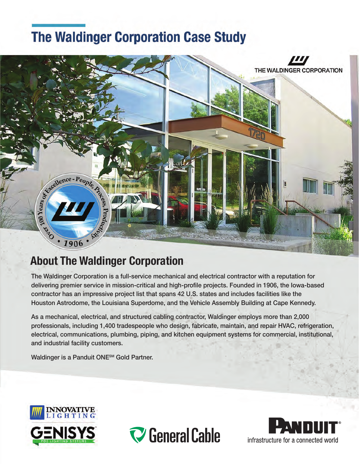# **The Waldinger Corporation Case Study**



## **About The Waldinger Corporation**

The Waldinger Corporation is a full-service mechanical and electrical contractor with a reputation for delivering premier service in mission-critical and high-profile projects. Founded in 1906, the Iowa-based contractor has an impressive project list that spans 42 U.S. states and includes facilities like the Houston Astrodome, the Louisiana Superdome, and the Vehicle Assembly Building at Cape Kennedy.

As a mechanical, electrical, and structured cabling contractor, Waldinger employs more than 2,000 professionals, including 1,400 tradespeople who design, fabricate, maintain, and repair HVAC, refrigeration, electrical, communications, plumbing, piping, and kitchen equipment systems for commercial, institutional, and industrial facility customers.

Waldinger is a Panduit ONE<sup>SM</sup> Gold Partner.





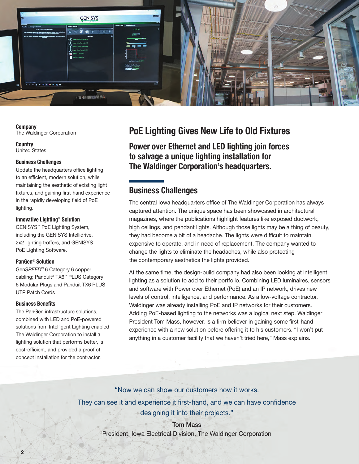

Company The Waldinger Corporation

**Country** United States

#### Business Challenges

Update the headquarters office lighting to an efficient, modern solution, while maintaining the aesthetic of existing light fixtures, and gaining first-hand experience in the rapidly developing field of PoE lighting.

#### Innovative Lighting® Solution

GENISYS™ PoE Lighting System, including the GENISYS Intellidrive, 2x2 lighting troffers, and GENISYS PoE Lighting Software.

#### PanGen® Solution

Gen*SPEED*® 6 Category 6 copper cabling; Panduit® TX6™ PLUS Category 6 Modular Plugs and Panduit TX6 PLUS UTP Patch Cords

#### Business Benefits

 $\overline{2}$ 

The PanGen infrastructure solutions, combined with LED and PoE-powered solutions from Intelligent Lighting enabled The Waldinger Corporation to install a lighting solution that performs better, is cost-efficient, and provided a proof of concept installation for the contractor.

### PoE Lighting Gives New Life to Old Fixtures

Power over Ethernet and LED lighting join forces to salvage a unique lighting installation for The Waldinger Corporation's headquarters.

### Business Challenges

The central Iowa headquarters office of The Waldinger Corporation has always captured attention. The unique space has been showcased in architectural magazines, where the publications highlight features like exposed ductwork, high ceilings, and pendant lights. Although those lights may be a thing of beauty, they had become a bit of a headache. The lights were difficult to maintain, expensive to operate, and in need of replacement. The company wanted to change the lights to eliminate the headaches, while also protecting the contemporary aesthetics the lights provided.

At the same time, the design-build company had also been looking at intelligent lighting as a solution to add to their portfolio. Combining LED luminaires, sensors and software with Power over Ethernet (PoE) and an IP network, drives new levels of control, intelligence, and performance. As a low-voltage contractor, Waldinger was already installing PoE and IP networks for their customers. Adding PoE-based lighting to the networks was a logical next step. Waldinger President Tom Mass, however, is a firm believer in gaining some first-hand experience with a new solution before offering it to his customers. "I won't put anything in a customer facility that we haven't tried here," Mass explains.

"Now we can show our customers how it works. They can see it and experience it first-hand, and we can have confidence designing it into their projects."

> Tom Mass President, Iowa Electrical Division, The Waldinger Corporation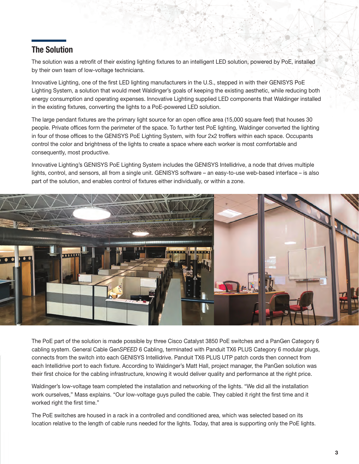### The Solution

The solution was a retrofit of their existing lighting fixtures to an intelligent LED solution, powered by PoE, installed by their own team of low-voltage technicians.

Innovative Lighting, one of the first LED lighting manufacturers in the U.S., stepped in with their GENISYS PoE Lighting System, a solution that would meet Waldinger's goals of keeping the existing aesthetic, while reducing both energy consumption and operating expenses. Innovative Lighting supplied LED components that Waldinger installed in the existing fixtures, converting the lights to a PoE-powered LED solution.

The large pendant fixtures are the primary light source for an open office area (15,000 square feet) that houses 30 people. Private offices form the perimeter of the space. To further test PoE lighting, Waldinger converted the lighting in four of those offices to the GENISYS PoE Lighting System, with four 2x2 troffers within each space. Occupants control the color and brightness of the lights to create a space where each worker is most comfortable and consequently, most productive.

Innovative Lighting's GENISYS PoE Lighting System includes the GENISYS Intellidrive, a node that drives multiple lights, control, and sensors, all from a single unit. GENISYS software – an easy-to-use web-based interface – is also part of the solution, and enables control of fixtures either individually, or within a zone.



The PoE part of the solution is made possible by three Cisco Catalyst 3850 PoE switches and a PanGen Category 6 cabling system. General Cable Gen*SPEED* 6 Cabling, terminated with Panduit TX6 PLUS Category 6 modular plugs, connects from the switch into each GENISYS Intellidrive. Panduit TX6 PLUS UTP patch cords then connect from each Intellidrive port to each fixture. According to Waldinger's Matt Hall, project manager, the PanGen solution was their first choice for the cabling infrastructure, knowing it would deliver quality and performance at the right price.

Waldinger's low-voltage team completed the installation and networking of the lights. "We did all the installation work ourselves," Mass explains. "Our low-voltage guys pulled the cable. They cabled it right the first time and it worked right the first time."

The PoE switches are housed in a rack in a controlled and conditioned area, which was selected based on its location relative to the length of cable runs needed for the lights. Today, that area is supporting only the PoE lights.